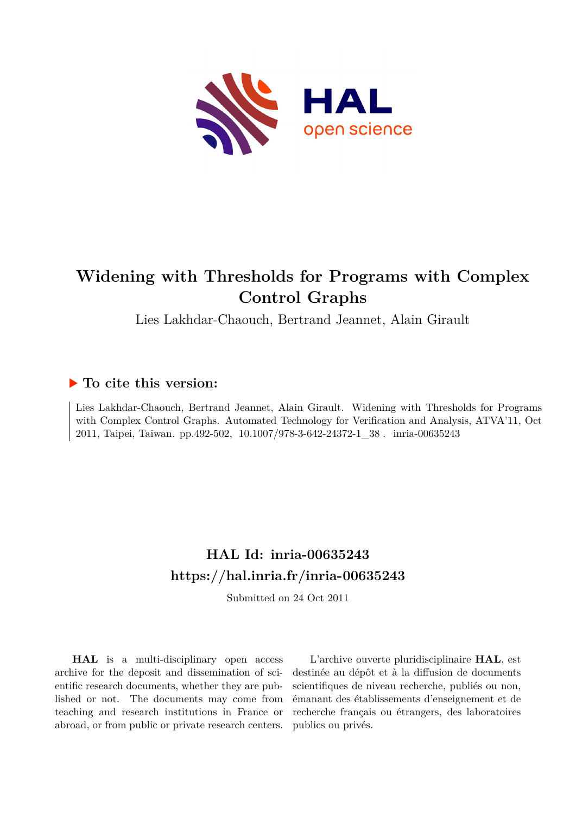

# **Widening with Thresholds for Programs with Complex Control Graphs**

Lies Lakhdar-Chaouch, Bertrand Jeannet, Alain Girault

## **To cite this version:**

Lies Lakhdar-Chaouch, Bertrand Jeannet, Alain Girault. Widening with Thresholds for Programs with Complex Control Graphs. Automated Technology for Verification and Analysis, ATVA'11, Oct 2011, Taipei, Taiwan. pp.492-502, 10.1007/978-3-642-24372-1\_38. inria-00635243

# **HAL Id: inria-00635243 <https://hal.inria.fr/inria-00635243>**

Submitted on 24 Oct 2011

**HAL** is a multi-disciplinary open access archive for the deposit and dissemination of scientific research documents, whether they are published or not. The documents may come from teaching and research institutions in France or abroad, or from public or private research centers.

L'archive ouverte pluridisciplinaire **HAL**, est destinée au dépôt et à la diffusion de documents scientifiques de niveau recherche, publiés ou non, émanant des établissements d'enseignement et de recherche français ou étrangers, des laboratoires publics ou privés.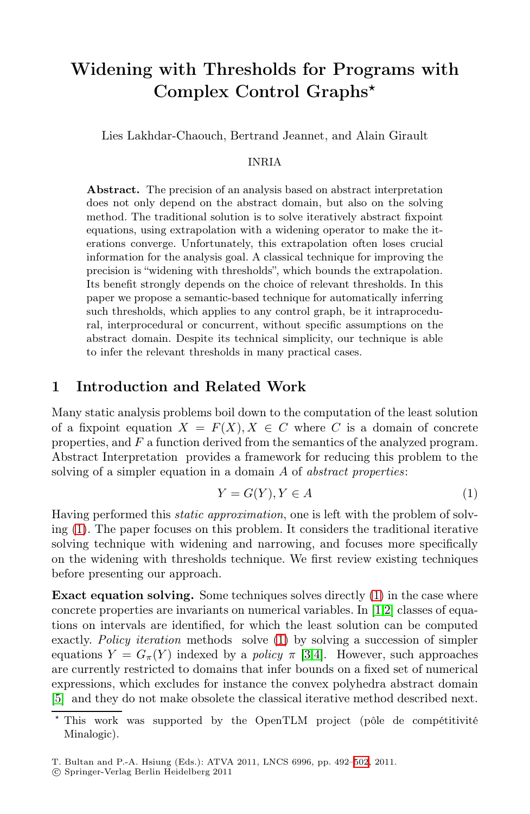# Widening with Thresholds for Programs with Complex Control Graphs*-*

Lies Lakhdar-Chaouch, Bertrand Jeannet, and Alain Girault

#### INRIA

Abstract. The precision of an analysis based on abstract interpretation does not only depend on the abstract domain, but also on the solving method. The traditional solution is to solve iteratively abstract fixpoint equations, using extrapolation with a widening operator to make the iterations converge. Unfortunately, this extrapolation often loses crucial information for the analysis goal. A classical technique for improving the precision is "widening with thresholds", which bounds the extrapolation. Its benefit strongly depends on the choice of relevant thresholds. In this paper we propose a semantic-based technique for automatically inferring such thresholds, which applies to any control graph, be it intraprocedural, interprocedural or concurrent, without specific assumptions on the abstract domain. Despite its technical simplicity, our technique is able to infer the relevant thresholds in many practical cases.

#### 1 Introduction and Related Work

Many static analysis problems boil down to the computation of the least solution of a fixpoint equation  $X = F(X), X \in C$  where C is a domain of concrete properties, and F a function derived from the semantics of the analyzed program. Abstract Interpretation provides a framework for reducing this problem to the solving of a simpler equation in a domain A of *abstract properties*:

$$
Y = G(Y), Y \in A \tag{1}
$$

Having performed this *static approximation*, one is left with the problem of solving (1). The paper focuses on this problem. It considers the traditional iterative solving technique with widening and narrowing, and focuses more specifically on the widening with thresholds technique. We first review existing techniques before presenting our approach.

Exact equation solving. Some techniques solves directly (1) in the case where concrete properties are invariants on numerical variables. In [1,2] classes of equations on intervals are identified, for which the least solution can be computed exactly. *Policy iteration* methods solve (1) by solving a succession of simpler equations  $Y = G_{\pi}(Y)$  indexed by a *policy*  $\pi$  [3,4]. However, such approaches are currently restricted to domains that infer bounds on a fixed set of numerical expressions, which excludes for instance the convex polyhedra abstract domain [5] and they do not make obsolete the classical iterative method described next.

<sup>\*</sup> This work was supported by the OpenTLM project (pôle de compétitivité Minalogic).

T. Bultan and P.-A. Hsiung (Eds.): ATVA 2011, LNCS 6996, pp. 492[–502](#page-11-0), 2011.

<sup>-</sup>c Springer-Verlag Berlin Heidelberg 2011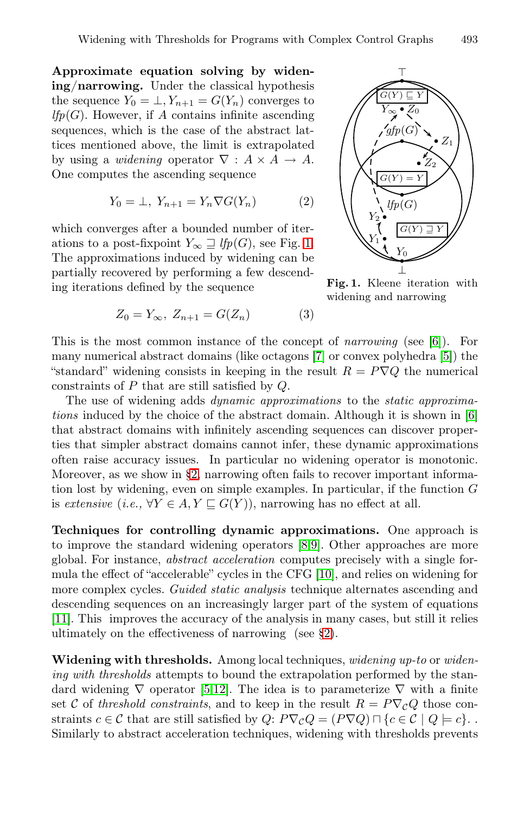Approximate equation solving by widening/narrowing. Under the classical hypothesis the sequence  $Y_0 = \perp, Y_{n+1} = G(Y_n)$  converges to  $lfp(G)$ . However, if A contains infinite ascending sequences, which is the case of the abstract lattices mentioned above, the limit is extrapolated by using a *widening* operator  $\nabla : A \times A \rightarrow A$ . One computes the ascending sequence

$$
Y_0 = \bot, Y_{n+1} = Y_n \nabla G(Y_n)
$$
 (2)

which converges after a bounded number of iterations to a post-fixpoint  $Y_{\infty} \supseteq lfp(G)$ , see Fig. 1. The approximations induced by widening can be partially recovered by performing a few descending iterations defined by the sequence

$$
Z_0 = Y_{\infty}, \ Z_{n+1} = G(Z_n) \tag{3}
$$



Fig. 1. Kleene iteration with widening and narrowing

This is the most common instance of the concept of *narrowing* (see [6]). For many numerical abstract domains (like octagons [7] or convex polyhedra [5]) the "standard" widening consists in keeping in the result  $R = P \nabla Q$  the numerical constraints of P that are still satisfied by Q.

The use of widening adds *dynamic approximations* to the *static approximations* induced by the choice of the abstract domain. Although it is shown in [6] that abstract domains with infinitely ascending sequences can discover properties that simpler abstract domains cannot infer, these dynamic approximations often raise accuracy issues. In particular no widening operator is monotonic. Moreover, as we show in §2, narrowing often fails to recover important information lost by widening, even on simple examples. In particular, if the function  $G$ is *extensive* (*i.e.*,  $\forall Y \in A, Y \sqsubseteq G(Y)$ ), narrowing has no effect at all.

Techniques for controlling dynamic approximations. One approach is to improve the standard widening operators [8,9]. Other approaches are more global. For instance, *abstract acceleration* computes precisely with a single formula the effect of "accelerable" cycles in the CFG [10], and relies on widening for more complex cycles. *Guided static analysis* technique alternates ascending and descending sequences on an increasingly larger part of the system of equations [11]. This improves the accuracy of the analysis in many cases, but still it relies ultimately on the effectiveness of narrowing (see §2).

Widening with thresholds. Among local techniques, *widening up-to* or *widening with thresholds* attempts to bound the extrapolation performed by the standard widening  $\nabla$  operator [5,12]. The idea is to parameterize  $\nabla$  with a finite set C of *threshold constraints*, and to keep in the result  $R = P \nabla_C Q$  those constraints  $c \in \mathcal{C}$  that are still satisfied by  $Q: P \nabla_{\mathcal{C}} Q = (P \nabla Q) \cap \{c \in \mathcal{C} \mid Q \models c\}.$ Similarly to abstract acceleration techniques, widening with thresholds prevents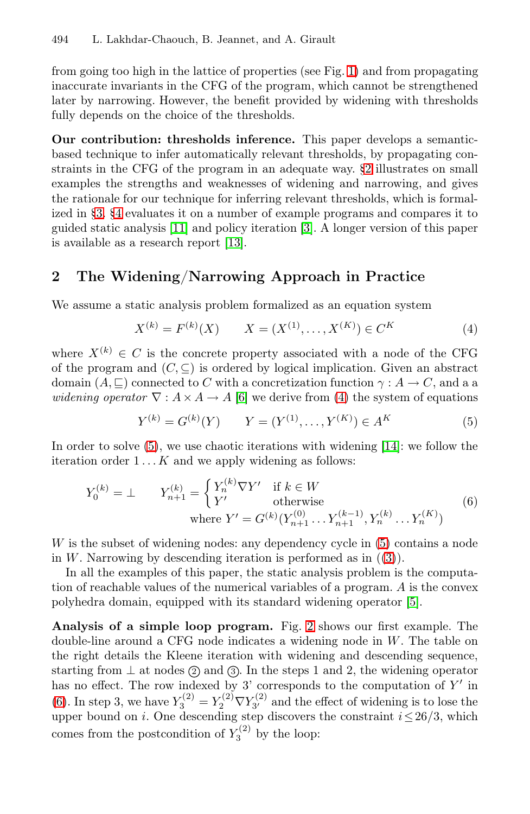from going too high in the lattice of properties (see Fig. 1) and from propagating inaccurate invariants in the CFG of the program, which cannot be strengthened later by narrowing. However, the benefit provided by widening with thresholds fully depends on the choice of the thresholds.

Our contribution: thresholds inference. This paper develops a semanticbased technique to infer automatically relevant thresholds, by propagating constraints in the CFG of the program in an adequate way. §2 illustrates on small examples the strengths and weaknesses of widening and narrowing, and gives the rationale for our technique for inferring relevant thresholds, which is formalized in §3. §4 evaluates it on a number of example programs and compares it to guided static analysis [11] and policy iteration [3]. A longer version of this paper is available as a research report [13].

### 2 The Widening/Narrowing Approach in Practice

We assume a static analysis problem formalized as an equation system

$$
X^{(k)} = F^{(k)}(X) \qquad X = (X^{(1)}, \dots, X^{(K)}) \in C^K \tag{4}
$$

where  $X^{(k)} \in C$  is the concrete property associated with a node of the CFG of the program and  $(C, \subseteq)$  is ordered by logical implication. Given an abstract domain  $(A, \sqsubseteq)$  connected to C with a concretization function  $\gamma : A \to C$ , and a a *widening operator*  $\nabla : A \times A \rightarrow A$  [6] we derive from (4) the system of equations

$$
Y^{(k)} = G^{(k)}(Y) \qquad Y = (Y^{(1)}, \dots, Y^{(K)}) \in A^K \tag{5}
$$

In order to solve  $(5)$ , we use chaotic iterations with widening  $(14)$ : we follow the iteration order  $1 \dots K$  and we apply widening as follows:

$$
Y_0^{(k)} = \perp \qquad Y_{n+1}^{(k)} = \begin{cases} Y_n^{(k)} \nabla Y' & \text{if } k \in W \\ Y' & \text{otherwise} \end{cases} \tag{6}
$$
  
where  $Y' = G^{(k)}(Y_{n+1}^{(0)} \dots Y_{n+1}^{(k-1)}, Y_n^{(k)} \dots Y_n^{(K)})$ 

W is the subset of widening nodes: any dependency cycle in (5) contains a node in W. Narrowing by descending iteration is performed as in  $((3))$ .

In all the examples of this paper, the static analysis problem is the computation of reachable values of the numerical variables of a program. A is the convex polyhedra domain, equipped with its standard widening operator [5].

Analysis of a simple loop program. Fig. 2 shows our first example. The double-line around a CFG node indicates a widening node in  $W$ . The table on the right details the Kleene iteration with widening and descending sequence, starting from  $\perp$  at nodes  $(2)$  and  $(3)$ . In the steps 1 and 2, the widening operator has no effect. The row indexed by 3' corresponds to the computation of  $Y'$  in (6). In step 3, we have  $Y_3^{(2)} = Y_2^{(2)} \nabla Y_{3'}^{(2)}$  and the effect of widening is to lose the upper bound on *i*. One descending step discovers the constraint  $i \leq 26/3$ , which comes from the postcondition of  $Y_3^{(2)}$  by the loop: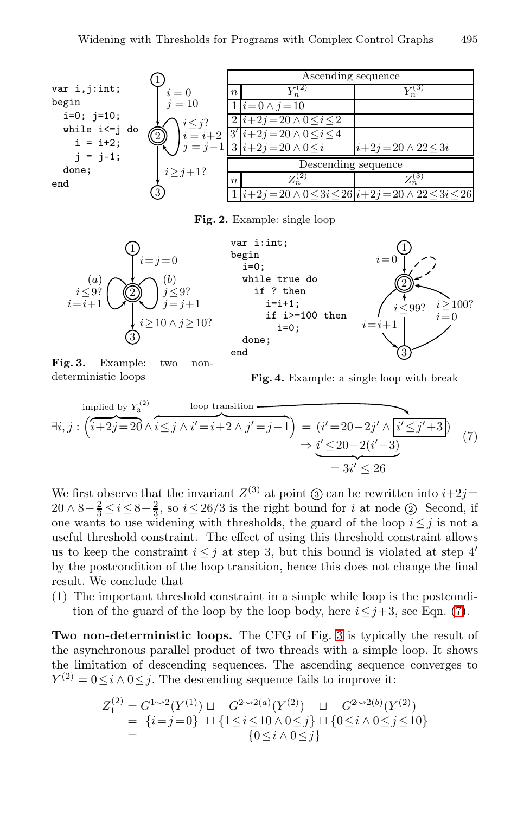

Fig. 2. Example: single loop





Fig. 3. Example: two nondeterministic loops

Fig. 4. Example: a single loop with break

$$
\exists i, j : \left(\overbrace{i+2j=20}^{\text{implied by } Y_3^{(2)}} \wedge \overbrace{i \leq j \land i'=i+2 \land j'=j-1}^{\text{loop transition}}\right) = \underbrace{(i'=20-2j' \land \overbrace{i'\leq j'+3}^{\text{if } Y_3^{(2)}})}{=3i' \leq 26} \tag{7}
$$

We first observe that the invariant  $Z^{(3)}$  at point  $(3)$  can be rewritten into  $i+2j=$  $20 \wedge 8 - \frac{2}{3} \leq i \leq 8 + \frac{2}{3}$ , so  $i \leq 26/3$  is the right bound for i at node  $\textcircled{2}$  Second, if one wants to use widening with thresholds, the guard of the loop  $i \leq j$  is not a useful threshold constraint. The effect of using this threshold constraint allows us to keep the constraint  $i \leq j$  at step 3, but this bound is violated at step 4' by the postcondition of the loop transition, hence this does not change the final result. We conclude that

(1) The important threshold constraint in a simple while loop is the postcondition of the guard of the loop by the loop body, here  $i \leq j+3$ , see Eqn. (7).

Two non-deterministic loops. The CFG of Fig. 3 is typically the result of the asynchronous parallel product of two threads with a simple loop. It shows the limitation of descending sequences. The ascending sequence converges to  $Y^{(2)} = 0 \leq i \wedge 0 \leq j$ . The descending sequence fails to improve it:

$$
Z_1^{(2)} = G^{1 \sim 2}(Y^{(1)}) \sqcup G^{2 \sim 2(a)}(Y^{(2)}) \sqcup G^{2 \sim 2(b)}(Y^{(2)})
$$
  
= {*i* = *j* = 0} \sqcup {1 \le *i* \le 10  $\land$  0 \le *j*} \sqcup {0 \le *i*  $\land$  0 \le *j* \le 10}  
= {0 \le *i*  $\land$  0 \le *j*}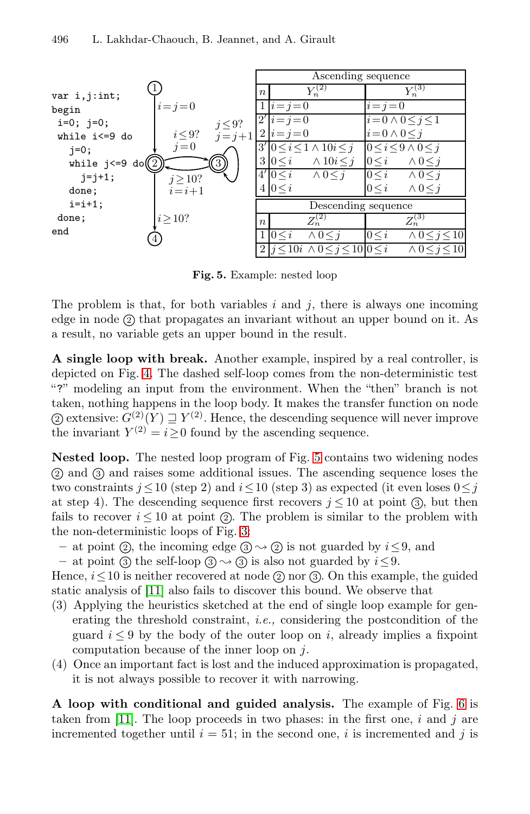

Fig. 5. Example: nested loop

The problem is that, for both variables  $i$  and  $j$ , there is always one incoming edge in node  $(2)$  that propagates an invariant without an upper bound on it. As a result, no variable gets an upper bound in the result.

A single loop with break. Another example, inspired by a real controller, is depicted on Fig. 4. The dashed self-loop comes from the non-deterministic test "?" modeling an input from the environment. When the "then" branch is not taken, nothing happens in the loop body. It makes the transfer function on node (2) extensive:  $G^{(2)}(Y) \sqsupseteq Y^{(2)}$ . Hence, the descending sequence will never improve the invariant  $Y^{(2)} = i > 0$  found by the ascending sequence.

Nested loop. The nested loop program of Fig. 5 contains two widening nodes <sup>2</sup> and <sup>3</sup> and raises some additional issues. The ascending sequence loses the two constraints  $j \leq 10$  (step 2) and  $i \leq 10$  (step 3) as expected (it even loses  $0 \leq j$ at step 4). The descending sequence first recovers  $j \leq 10$  at point (3), but then fails to recover  $i \leq 10$  at point (2). The problem is similar to the problem with the non-deterministic loops of Fig. 3:

– at point (2), the incoming edge  $(3) \rightarrow (2)$  is not guarded by  $i \leq 9$ , and

– at point (3) the self-loop (3)  $\rightsquigarrow$  (3) is also not guarded by  $i \leq 9$ .

Hence,  $i \leq 10$  is neither recovered at node (2) nor (3). On this example, the guided static analysis of [11] also fails to discover this bound. We observe that

- (3) Applying the heuristics sketched at the end of single loop example for generating the threshold constraint, *i.e.,* considering the postcondition of the guard  $i \leq 9$  by the body of the outer loop on i, already implies a fixpoint computation because of the inner loop on j.
- (4) Once an important fact is lost and the induced approximation is propagated, it is not always possible to recover it with narrowing.

A loop with conditional and guided analysis. The example of Fig. 6 is taken from [11]. The loop proceeds in two phases: in the first one,  $i$  and  $j$  are incremented together until  $i = 51$ ; in the second one, i is incremented and j is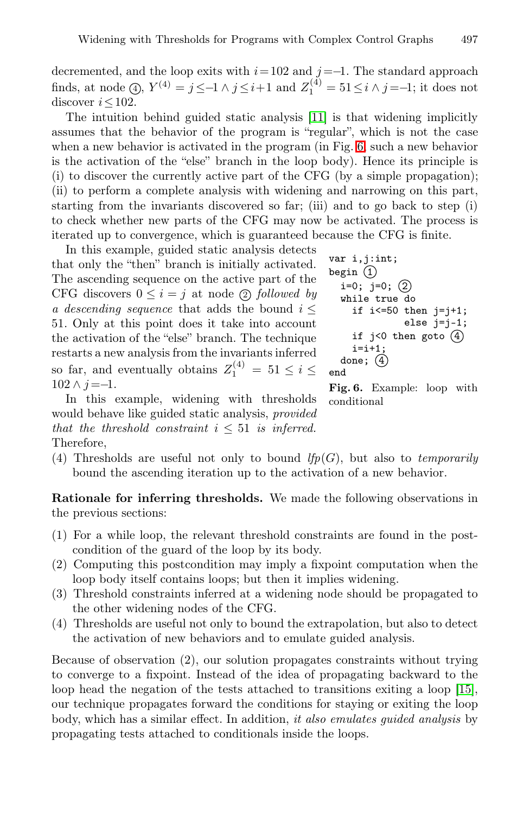decremented, and the loop exits with  $i=102$  and  $j=-1$ . The standard approach finds, at node  $(4)$ ,  $Y^{(4)} = j \le -1 \land j \le i+1$  and  $Z_1^{(4)} = 51 \le i \land j = -1$ ; it does not discover  $i < 102$ .

The intuition behind guided static analysis [11] is that widening implicitly assumes that the behavior of the program is "regular", which is not the case when a new behavior is activated in the program (in Fig. 6, such a new behavior is the activation of the "else" branch in the loop body). Hence its principle is (i) to discover the currently active part of the CFG (by a simple propagation); (ii) to perform a complete analysis with widening and narrowing on this part, starting from the invariants discovered so far; (iii) and to go back to step (i) to check whether new parts of the CFG may now be activated. The process is iterated up to convergence, which is guaranteed because the CFG is finite.

In this example, guided static analysis detects that only the "then" branch is initially activated. The ascending sequence on the active part of the CFG discovers  $0 \leq i = j$  at node (2) *followed by a descending sequence* that adds the bound  $i \leq$ 51. Only at this point does it take into account the activation of the "else" branch. The technique restarts a new analysis from the invariants inferred so far, and eventually obtains  $Z_1^{(4)} = 51 \le i \le$  $102 \wedge j = -1$ .

```
var i,j:int;
begin (1)i=0; j=0; (2)while true do
     if i < = 50 then j = j + 1;
               else j=j-1;
    if j<0 then goto (4)i=i+1;
  done; \left(4\right)end
```
In this example, widening with thresholds would behave like guided static analysis, *provided that the threshold constraint*  $i \leq 51$  *is inferred.* Therefore,

Fig. 6. Example: loop with conditional

(4) Thresholds are useful not only to bound  $lfp(G)$ , but also to *temporarily* bound the ascending iteration up to the activation of a new behavior.

Rationale for inferring thresholds. We made the following observations in the previous sections:

- (1) For a while loop, the relevant threshold constraints are found in the postcondition of the guard of the loop by its body.
- (2) Computing this postcondition may imply a fixpoint computation when the loop body itself contains loops; but then it implies widening.
- (3) Threshold constraints inferred at a widening node should be propagated to the other widening nodes of the CFG.
- (4) Thresholds are useful not only to bound the extrapolation, but also to detect the activation of new behaviors and to emulate guided analysis.

Because of observation (2), our solution propagates constraints without trying to converge to a fixpoint. Instead of the idea of propagating backward to the loop head the negation of the tests attached to transitions exiting a loop [15], our technique propagates forward the conditions for staying or exiting the loop body, which has a similar effect. In addition, *it also emulates guided analysis* by propagating tests attached to conditionals inside the loops.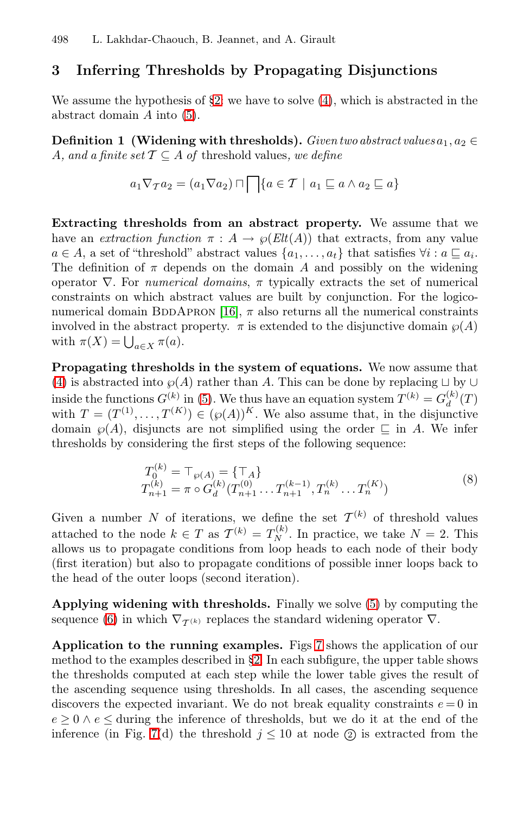### 3 Inferring Thresholds by Propagating Disjunctions

We assume the hypothesis of  $\S2$ : we have to solve  $(4)$ , which is abstracted in the abstract domain A into (5).

Definition 1 (Widening with thresholds). *Given two abstract values*  $a_1, a_2 \in$ A, and a finite set  $\mathcal{T} \subseteq A$  of threshold values, we define

$$
a_1 \nabla_{\mathcal{T}} a_2 = (a_1 \nabla a_2) \sqcap \bigcap \{a \in \mathcal{T} \mid a_1 \sqsubseteq a \land a_2 \sqsubseteq a\}
$$

Extracting thresholds from an abstract property. We assume that we have an *extraction function*  $\pi : A \to \varphi(Elt(A))$  that extracts, from any value  $a \in A$ , a set of "threshold" abstract values  $\{a_1, \ldots, a_t\}$  that satisfies  $\forall i : a \sqsubseteq a_i$ . The definition of  $\pi$  depends on the domain A and possibly on the widening operator ∇. For *numerical domains*, π typically extracts the set of numerical constraints on which abstract values are built by conjunction. For the logiconumerical domain BDDAPRON [16],  $\pi$  also returns all the numerical constraints involved in the abstract property.  $\pi$  is extended to the disjunctive domain  $\wp(A)$ with  $\pi(X) = \bigcup_{a \in X} \pi(a)$ .

Propagating thresholds in the system of equations. We now assume that (4) is abstracted into  $\wp(A)$  rather than A. This can be done by replacing  $\sqcup$  by  $\cup$ inside the functions  $G^{(k)}$  in (5). We thus have an equation system  $T^{(k)} = G_d^{(k)}(T)$ with  $T=(T^{(1)},\ldots,T^{(K)})\in (\wp(A))^K$ . We also assume that, in the disjunctive domain  $\wp(A)$ , disjuncts are not simplified using the order  $\sqsubseteq$  in A. We infer thresholds by considering the first steps of the following sequence:

$$
T_0^{(k)} = \top_{\wp(A)} = {\top_A}
$$
  
\n
$$
T_{n+1}^{(k)} = \pi \circ G_d^{(k)}(T_{n+1}^{(0)} \dots T_{n+1}^{(k-1)}, T_n^{(k)} \dots T_n^{(K)})
$$
\n(8)

Given a number N of iterations, we define the set  $\mathcal{T}^{(k)}$  of threshold values attached to the node  $k \in T$  as  $\mathcal{T}^{(k)} = T_N^{(k)}$ . In practice, we take  $N = 2$ . This allows us to propagate conditions from loop heads to each node of their body (first iteration) but also to propagate conditions of possible inner loops back to the head of the outer loops (second iteration).

Applying widening with thresholds. Finally we solve (5) by computing the sequence (6) in which  $\nabla_{\mathcal{T}^{(k)}}$  replaces the standard widening operator  $\nabla$ .

Application to the running examples. Figs 7 shows the application of our method to the examples described in §2. In each subfigure, the upper table shows the thresholds computed at each step while the lower table gives the result of the ascending sequence using thresholds. In all cases, the ascending sequence discovers the expected invariant. We do not break equality constraints  $e = 0$  in  $e \geq 0 \land e \leq$  during the inference of thresholds, but we do it at the end of the inference (in Fig. 7(d) the threshold  $j \le 10$  at node (2) is extracted from the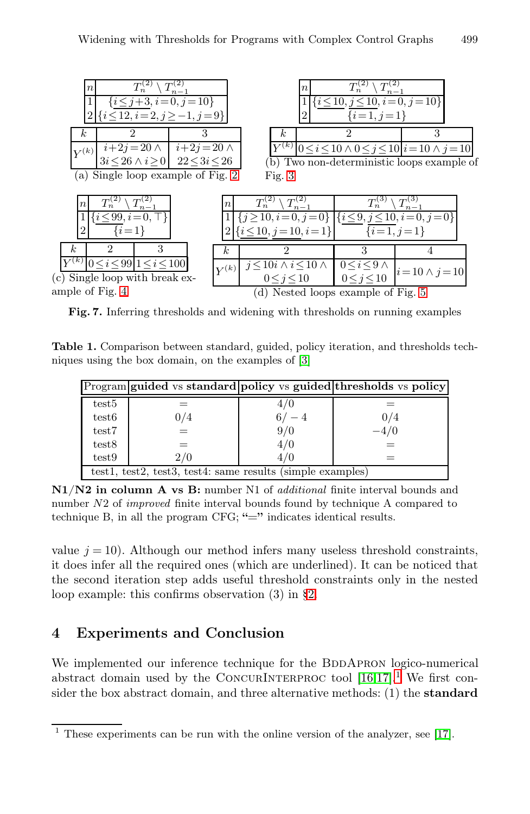

Fig. 7. Inferring thresholds and widening with thresholds on running examples

Table 1. Comparison between standard, guided, policy iteration, and thresholds techniques using the box domain, on the examples of [3]

|                                                            |     |         | Program guided vs standard policy vs guided thresholds vs policy |  |  |  |  |
|------------------------------------------------------------|-----|---------|------------------------------------------------------------------|--|--|--|--|
| test <sup>5</sup>                                          |     | 4/0     |                                                                  |  |  |  |  |
| test <sub>6</sub>                                          | 0/4 | $6/- 4$ | 0/4                                                              |  |  |  |  |
| test7                                                      |     | 9/0     | $-4/0$                                                           |  |  |  |  |
| test8                                                      |     | 4/0     |                                                                  |  |  |  |  |
| test9                                                      | 2/0 | 4/0     |                                                                  |  |  |  |  |
| test1, test2, test3, test4: same results (simple examples) |     |         |                                                                  |  |  |  |  |

N1/N2 in column A vs B: number N1 of *additional* finite interval bounds and number *N*2 of *improved* finite interval bounds found by technique A compared to technique B, in all the program CFG;  $"="right"$  indicates identical results.

value  $j = 10$ ). Although our method infers many useless threshold constraints, it does infer all the required ones (which are underlined). It can be noticed that the second iteration step adds useful threshold constraints only in the nested loop example: this confirms observation (3) in §2.

## 4 Experiments and Conclusion

We implemented our inference technique for the BDDAPRON logico-numerical abstract domain used by the CONCURINTERPROC tool  $[16,17]$ .<sup>1</sup> We first consider the box abstract domain, and three alternative methods: (1) the standard

 $1$  These experiments can be run with the online version of the analyzer, see [17].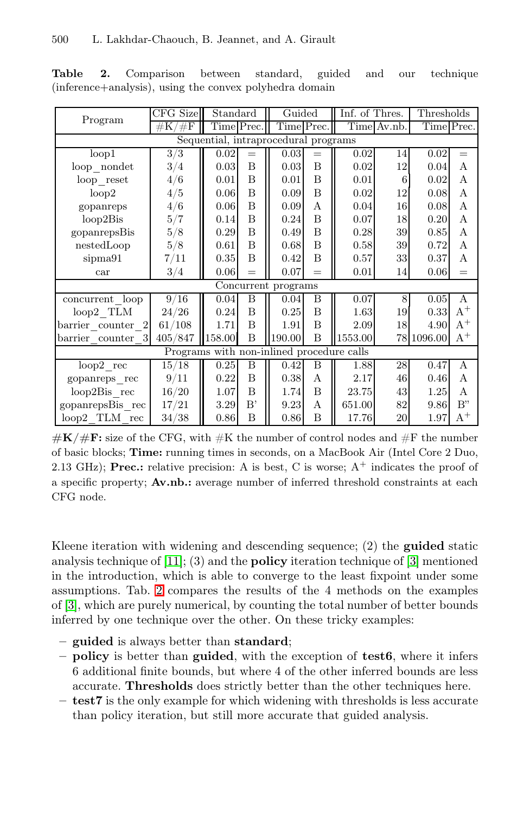|                                           | CFG Size     | Standard   |     | Guided     |     | Inf. of Thres. |        | Thresholds |       |  |  |  |
|-------------------------------------------|--------------|------------|-----|------------|-----|----------------|--------|------------|-------|--|--|--|
| Program                                   | /#F<br>$\#K$ | Time Prec. |     | Time Prec. |     | Time Av.nb.    |        | Time Prec. |       |  |  |  |
| Sequential, intraprocedural programs      |              |            |     |            |     |                |        |            |       |  |  |  |
| loop1                                     | 3/3          | 0.02       | $=$ | 0.03       | $=$ | 0.02           | 14     | 0.02       | $=$   |  |  |  |
| loop nondet                               | 3/4          | 0.03       | B   | 0.03       | B   | 0.02           | 12     | 0.04       | А     |  |  |  |
| $loop\_reset$                             | 4/6          | 0.01       | B   | 0.01       | B   | 0.01           | 6      | 0.02       | A     |  |  |  |
| loop2                                     | 4/5          | 0.06       | B   | 0.09       | B   | 0.02           | 12     | 0.08       | A     |  |  |  |
| gopanreps                                 | 4/6          | 0.06       | B   | 0.09       | A   | 0.04           | 16     | 0.08       | A     |  |  |  |
| $loop2B$ is                               | 5/7          | 0.14       | B   | 0.24       | B   | 0.07           | 18     | 0.20       | А     |  |  |  |
| gopanrepsBis                              | 5/8          | 0.29       | B   | 0.49       | B   | 0.28           | 39     | 0.85       | A     |  |  |  |
| nestedLoop                                | 5/8          | 0.61       | B   | 0.68       | B   | 0.58           | 39     | 0.72       | A     |  |  |  |
| sipma91                                   | 7/11         | 0.35       | B   | 0.42       | B   | 0.57           | 33     | 0.37       | A     |  |  |  |
| car                                       | 3/4          | 0.06       | $=$ | 0.07       | $=$ | 0.01           | 14     | 0.06       | $=$   |  |  |  |
| Concurrent programs                       |              |            |     |            |     |                |        |            |       |  |  |  |
| concurrent loop                           | 9/16         | 0.04       | B   | 0.04       | B   | 0.07           | 8      | 0.05       | A     |  |  |  |
| $loop2$ TLM                               | 24/26        | 0.24       | B   | 0.25       | B   | 1.63           | 19     | 0.33       | $A^+$ |  |  |  |
| barrier counter 2                         | 61/108       | 1.71       | B   | 1.91       | B   | 2.09           | 18     | 4.90       | $A^+$ |  |  |  |
| barrier_counter 3                         | 405/847      | 158.00     | B   | 190.00     | B   | 1553.00        | 78     | 1096.00    | $A^+$ |  |  |  |
| Programs with non-inlined procedure calls |              |            |     |            |     |                |        |            |       |  |  |  |
| $loop2 \text{ rec}$                       | 15/18        | 0.25       | B   | 0.42       | Β   | 1.88           | 28     | 0.47       | A     |  |  |  |
| gopanreps_rec                             | 9/11         | 0.22       | B   | 0.38       | A   | 2.17           | 46     | 0.46       | A     |  |  |  |
| loop2Bis rec                              | 16/20        | 1.07       | B   | 1.74       | B   | 23.75          | 43     | 1.25       | A     |  |  |  |
| gopanrepsBis rec                          | 17/21        | 3.29       | B'  | 9.23       | A   | 651.00         | 82     | 9.86       | B"    |  |  |  |
| $loop2$ TLM $rec$                         | 34/38        | 0.86       | B   | 0.86       | B   | 17.76          | $20\,$ | 1.97       | $A^+$ |  |  |  |

Table 2. Comparison between standard, guided and our technique (inference+analysis), using the convex polyhedra domain

 $\#K/\#F$ : size of the CFG, with  $\#K$  the number of control nodes and  $\#F$  the number of basic blocks; Time: running times in seconds, on a MacBook Air (Intel Core 2 Duo, 2.13 GHz); **Prec.:** relative precision: A is best, C is worse;  $A^+$  indicates the proof of a specific property; Av.nb.: average number of inferred threshold constraints at each CFG node.

Kleene iteration with widening and descending sequence;  $(2)$  the **guided** static analysis technique of  $[11]$ ; (3) and the **policy** iteration technique of  $[3]$  mentioned in the introduction, which is able to converge to the least fixpoint under some assumptions. Tab. 2 compares the results of the 4 methods on the examples of [3], which are purely numerical, by counting the total number of better bounds inferred by one technique over the other. On these tricky examples:

- guided is always better than standard;
- $-$  **policy** is better than **guided**, with the exception of **test6**, where it infers 6 additional finite bounds, but where 4 of the other inferred bounds are less accurate. Thresholds does strictly better than the other techniques here.
- test7 is the only example for which widening with thresholds is less accurate than policy iteration, but still more accurate that guided analysis.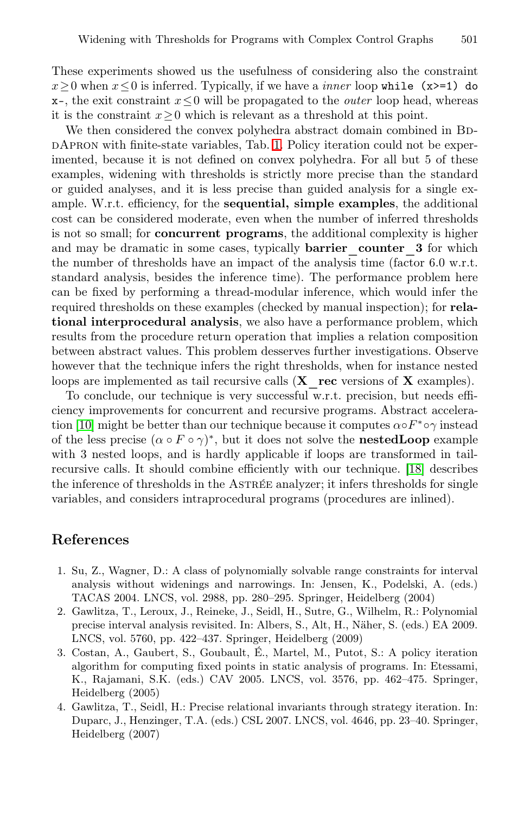These experiments showed us the usefulness of considering also the constraint x≥0 when x≤0 is inferred. Typically, if we have a *inner* loop while (x>=1) do x–, the exit constraint x≤0 will be propagated to the *outer* loop head, whereas it is the constraint  $x \geq 0$  which is relevant as a threshold at this point.

We then considered the convex polyhedra abstract domain combined in BDdApron with finite-state variables, Tab. 1. Policy iteration could not be experimented, because it is not defined on convex polyhedra. For all but 5 of these examples, widening with thresholds is strictly more precise than the standard or guided analyses, and it is less precise than guided analysis for a single example. W.r.t. efficiency, for the sequential, simple examples, the additional cost can be considered moderate, even when the number of inferred thresholds is not so small; for concurrent programs, the additional complexity is higher and may be dramatic in some cases, typically **barrier** counter 3 for which the number of thresholds have an impact of the analysis time (factor 6.0 w.r.t. standard analysis, besides the inference time). The performance problem here can be fixed by performing a thread-modular inference, which would infer the required thresholds on these examples (checked by manual inspection); for relational interprocedural analysis, we also have a performance problem, which results from the procedure return operation that implies a relation composition between abstract values. This problem desserves further investigations. Observe however that the technique infers the right thresholds, when for instance nested loops are implemented as tail recursive calls  $(X \text{rec versions of } X \text{ examples}).$ 

To conclude, our technique is very successful w.r.t. precision, but needs efficiency improvements for concurrent and recursive programs. Abstract acceleration [10] might be better than our technique because it computes  $\alpha \circ F^* \circ \gamma$  instead of the less precise  $(\alpha \circ F \circ \gamma)^*$ , but it does not solve the **nestedLoop** example with 3 nested loops, and is hardly applicable if loops are transformed in tailrecursive calls. It should combine efficiently with our technique. [18] describes the inference of thresholds in the ASTREE analyzer; it infers thresholds for single variables, and considers intraprocedural programs (procedures are inlined).

#### References

- 1. Su, Z., Wagner, D.: A class of polynomially solvable range constraints for interval analysis without widenings and narrowings. In: Jensen, K., Podelski, A. (eds.) TACAS 2004. LNCS, vol. 2988, pp. 280–295. Springer, Heidelberg (2004)
- 2. Gawlitza, T., Leroux, J., Reineke, J., Seidl, H., Sutre, G., Wilhelm, R.: Polynomial precise interval analysis revisited. In: Albers, S., Alt, H., Näher, S. (eds.) EA 2009. LNCS, vol. 5760, pp. 422–437. Springer, Heidelberg (2009)
- 3. Costan, A., Gaubert, S., Goubault, É., Martel, M., Putot, S.: A policy iteration algorithm for computing fixed points in static analysis of programs. In: Etessami, K., Rajamani, S.K. (eds.) CAV 2005. LNCS, vol. 3576, pp. 462–475. Springer, Heidelberg (2005)
- 4. Gawlitza, T., Seidl, H.: Precise relational invariants through strategy iteration. In: Duparc, J., Henzinger, T.A. (eds.) CSL 2007. LNCS, vol. 4646, pp. 23–40. Springer, Heidelberg (2007)